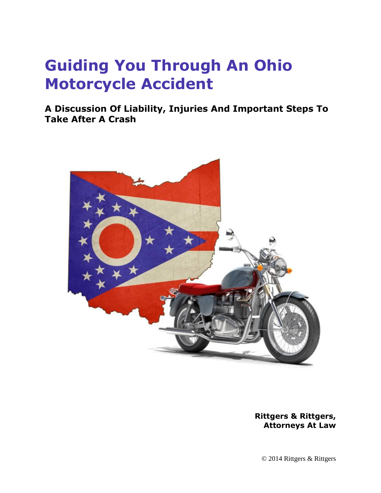# **Guiding You Through An Ohio Motorcycle Accident**

**A Discussion Of Liability, Injuries And Important Steps To Take After A Crash**



**Rittgers & Rittgers, Attorneys At Law**

© 2014 Rittgers & Rittgers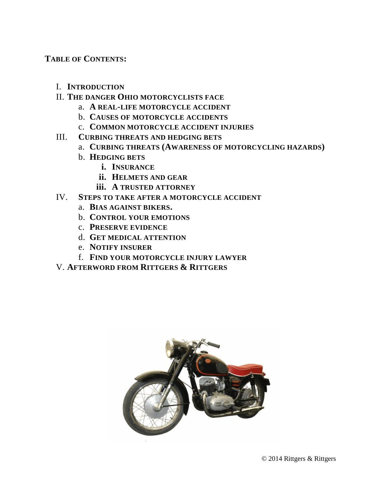**TABLE OF CONTENTS:**

- I. **INTRODUCTION**
- II. **THE DANGER OHIO MOTORCYCLISTS FACE**
	- a. **A REAL-LIFE MOTORCYCLE ACCIDENT**
	- b. **CAUSES OF MOTORCYCLE ACCIDENTS**
	- c. **COMMON MOTORCYCLE ACCIDENT INJURIES**
- III. **CURBING THREATS AND HEDGING BETS**
	- a. **CURBING THREATS (AWARENESS OF MOTORCYCLING HAZARDS)**
	- b. **HEDGING BETS**
		- **i. INSURANCE**
		- **ii. HELMETS AND GEAR**
		- **iii. A TRUSTED ATTORNEY**
- IV. **STEPS TO TAKE AFTER A MOTORCYCLE ACCIDENT**
	- a. **BIAS AGAINST BIKERS.**
	- b. **CONTROL YOUR EMOTIONS**
	- c. **PRESERVE EVIDENCE**
	- d. **GET MEDICAL ATTENTION**
	- e. **NOTIFY INSURER**
	- f. **FIND YOUR MOTORCYCLE INJURY LAWYER**
- V. **AFTERWORD FROM RITTGERS & RITTGERS**

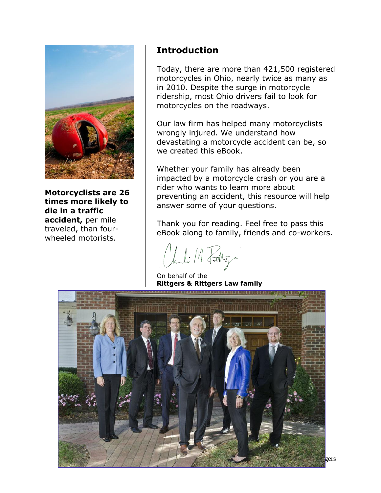

**Motorcyclists are 26 times more likely to die in a traffic accident,** per mile traveled, than fourwheeled motorists.

### **Introduction**

Today, there are more than 421,500 registered motorcycles in Ohio, nearly twice as many as in 2010. Despite the surge in motorcycle ridership, most Ohio drivers fail to look for motorcycles on the roadways.

Our law firm has helped many motorcyclists wrongly injured. We understand how devastating a motorcycle accident can be, so we created this eBook.

Whether your family has already been impacted by a motorcycle crash or you are a rider who wants to learn more about preventing an accident, this resource will help answer some of your questions.

Thank you for reading. Feel free to pass this eBook along to family, friends and co-workers.

huli M. Fatty

On behalf of the **Rittgers & Rittgers Law family** 

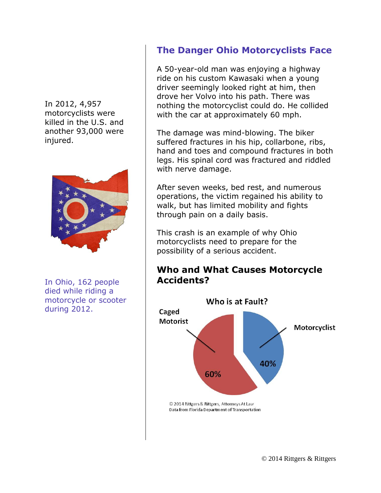In 2012, 4,957 motorcyclists were killed in the U.S. and another 93,000 were injured.



In Ohio, 162 people died while riding a motorcycle or scooter during 2012.

### **The Danger Ohio Motorcyclists Face**

A 50-year-old man was enjoying a highway ride on his custom Kawasaki when a young driver seemingly looked right at him, then drove her Volvo into his path. There was nothing the motorcyclist could do. He collided with the car at approximately 60 mph.

The damage was mind-blowing. The biker suffered fractures in his hip, collarbone, ribs, hand and toes and compound fractures in both legs. His spinal cord was fractured and riddled with nerve damage.

After seven weeks, bed rest, and numerous operations, the victim regained his ability to walk, but has limited mobility and fights through pain on a daily basis.

This crash is an example of why Ohio motorcyclists need to prepare for the possibility of a serious accident.

### **Who and What Causes Motorcycle Accidents?**

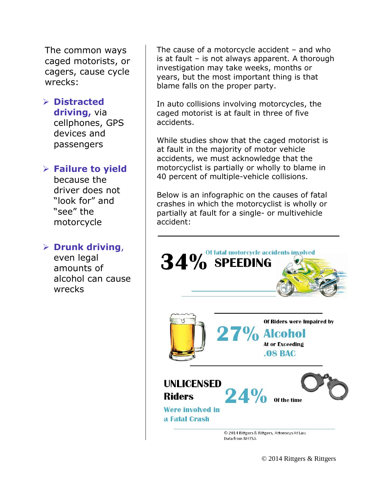The common ways caged motorists, or cagers, cause cycle wrecks:

### **Distracted**

**driving,** via cellphones, GPS devices and passengers

### **Failure to yield**

because the driver does not "look for" and "see" the motorcycle

### **Drunk driving**,

even legal amounts of alcohol can cause wrecks

The cause of a motorcycle accident – and who is at fault – is not always apparent. A thorough investigation may take weeks, months or years, but the most important thing is that blame falls on the proper party.

In auto collisions involving motorcycles, the caged motorist is at fault in three of five accidents.

While studies show that the caged motorist is at fault in the majority of motor vehicle accidents, we must acknowledge that the motorcyclist is partially or wholly to blame in 40 percent of multiple-vehicle collisions.

Below is an infographic on the causes of fatal crashes in which the motorcyclist is wholly or partially at fault for a single- or multivehicle accident:

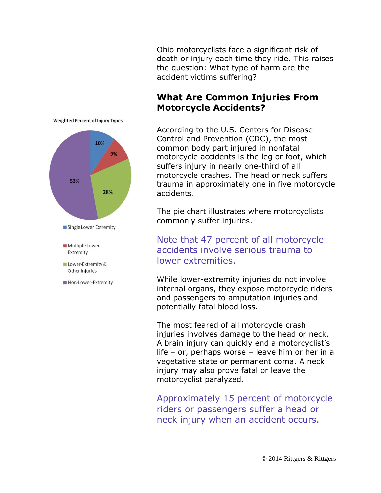

Ohio motorcyclists face a significant risk of death or injury each time they ride. This raises the question: What type of harm are the accident victims suffering?

### **What Are Common Injuries From Motorcycle Accidents?**

According to the U.S. Centers for Disease Control and Prevention (CDC), the most common body part injured in nonfatal motorcycle accidents is the leg or foot, which suffers injury in nearly one-third of all motorcycle crashes. The head or neck suffers trauma in approximately one in five motorcycle accidents.

The pie chart illustrates where motorcyclists commonly suffer injuries.

Note that 47 percent of all motorcycle accidents involve serious trauma to lower extremities.

While lower-extremity injuries do not involve internal organs, they expose motorcycle riders and passengers to amputation injuries and potentially fatal blood loss.

The most feared of all motorcycle crash injuries involves damage to the head or neck. A brain injury can quickly end a motorcyclist's life – or, perhaps worse – leave him or her in a vegetative state or permanent coma. A neck injury may also prove fatal or leave the motorcyclist paralyzed.

Approximately 15 percent of motorcycle riders or passengers suffer a head or neck injury when an accident occurs.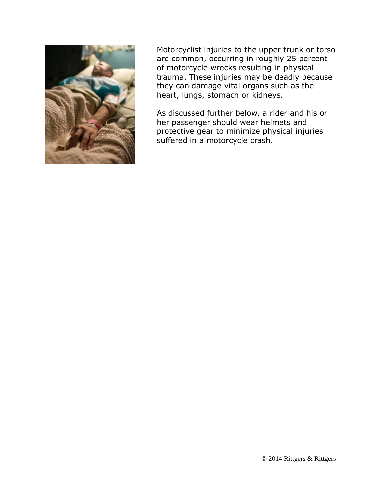

Motorcyclist injuries to the upper trunk or torso are common, occurring in roughly 25 percent of motorcycle wrecks resulting in physical trauma. These injuries may be deadly because they can damage vital organs such as the heart, lungs, stomach or kidneys.

As discussed further below, a rider and his or her passenger should wear helmets and protective gear to minimize physical injuries suffered in a motorcycle crash.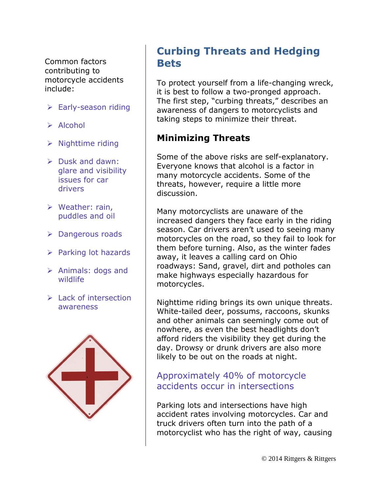Common factors contributing to motorcycle accidents include:

- **► Early-season riding**
- $\triangleright$  Alcohol
- $\triangleright$  Nighttime riding
- $\triangleright$  Dusk and dawn: glare and visibility issues for car drivers
- $\triangleright$  Weather: rain, puddles and oil
- ▶ Dangerous roads
- $\triangleright$  Parking lot hazards
- $\triangleright$  Animals: dogs and wildlife
- $\triangleright$  Lack of intersection awareness



# **Curbing Threats and Hedging Bets**

To protect yourself from a life-changing wreck, it is best to follow a two-pronged approach. The first step, "curbing threats," describes an awareness of dangers to motorcyclists and taking steps to minimize their threat.

### **Minimizing Threats**

Some of the above risks are self-explanatory. Everyone knows that alcohol is a factor in many motorcycle accidents. Some of the threats, however, require a little more discussion.

Many motorcyclists are unaware of the increased dangers they face early in the riding season. Car drivers aren't used to seeing many motorcycles on the road, so they fail to look for them before turning. Also, as the winter fades away, it leaves a calling card on Ohio roadways: Sand, gravel, dirt and potholes can make highways especially hazardous for motorcycles.

Nighttime riding brings its own unique threats. White-tailed deer, possums, raccoons, skunks and other animals can seemingly come out of nowhere, as even the best headlights don't afford riders the visibility they get during the day. Drowsy or drunk drivers are also more likely to be out on the roads at night.

### Approximately 40% of motorcycle accidents occur in intersections

Parking lots and intersections have high accident rates involving motorcycles. Car and truck drivers often turn into the path of a motorcyclist who has the right of way, causing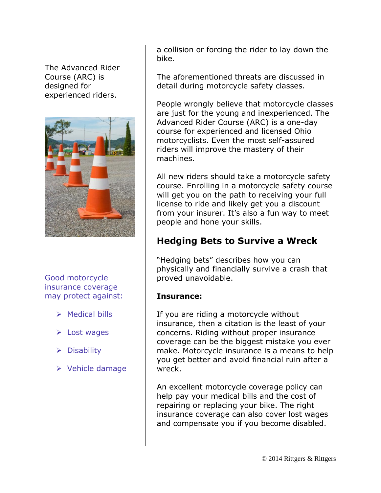The Advanced Rider Course (ARC) is designed for experienced riders.



Good motorcycle insurance coverage may protect against:

- $\triangleright$  Medical bills
- $\triangleright$  Lost wages
- $\triangleright$  Disability
- $\triangleright$  Vehicle damage

a collision or forcing the rider to lay down the bike.

The aforementioned threats are discussed in detail during motorcycle safety classes.

People wrongly believe that motorcycle classes are just for the young and inexperienced. The Advanced Rider Course (ARC) is a one-day course for experienced and licensed Ohio motorcyclists. Even the most self-assured riders will improve the mastery of their machines.

All new riders should take a motorcycle safety course. Enrolling in a motorcycle safety course will get you on the path to receiving your full license to ride and likely get you a discount from your insurer. It's also a fun way to meet people and hone your skills.

### **Hedging Bets to Survive a Wreck**

"Hedging bets" describes how you can physically and financially survive a crash that proved unavoidable.

#### **Insurance:**

If you are riding a motorcycle without insurance, then a citation is the least of your concerns. Riding without proper insurance coverage can be the biggest mistake you ever make. Motorcycle insurance is a means to help you get better and avoid financial ruin after a wreck.

An excellent motorcycle coverage policy can help pay your medical bills and the cost of repairing or replacing your bike. The right insurance coverage can also cover lost wages and compensate you if you become disabled.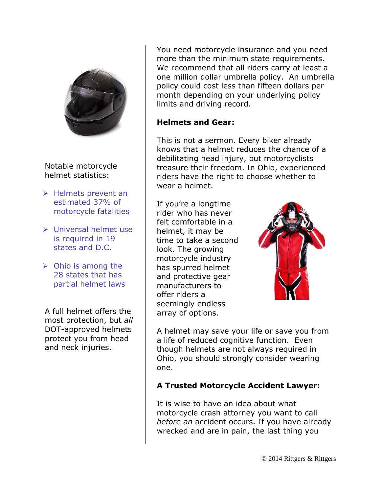

Notable motorcycle helmet statistics:

- $\triangleright$  Helmets prevent an estimated 37% of motorcycle fatalities
- Universal helmet use is required in 19 states and D.C.
- $\triangleright$  Ohio is among the 28 states that has partial helmet laws

A full helmet offers the most protection, but *all* DOT-approved helmets protect you from head and neck injuries.

You need motorcycle insurance and you need more than the minimum state requirements. We recommend that all riders carry at least a one million dollar umbrella policy. An umbrella policy could cost less than fifteen dollars per month depending on your underlying policy limits and driving record.

#### **Helmets and Gear:**

This is not a sermon. Every biker already knows that a helmet reduces the chance of a debilitating head injury, but motorcyclists treasure their freedom. In Ohio, experienced riders have the right to choose whether to wear a helmet.

If you're a longtime rider who has never felt comfortable in a helmet, it may be time to take a second look. The growing motorcycle industry has spurred helmet and protective gear manufacturers to offer riders a seemingly endless array of options.



A helmet may save your life or save you from a life of reduced cognitive function. Even though helmets are not always required in Ohio, you should strongly consider wearing one.

#### **A Trusted Motorcycle Accident Lawyer:**

It is wise to have an idea about what motorcycle crash attorney you want to call *before an* accident occurs. If you have already wrecked and are in pain, the last thing you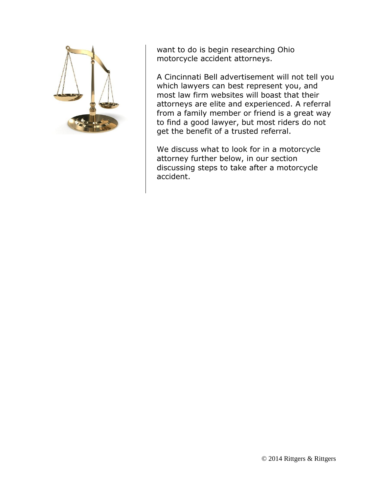

want to do is begin researching Ohio motorcycle accident attorneys.

A Cincinnati Bell advertisement will not tell you which lawyers can best represent you, and most law firm websites will boast that their attorneys are elite and experienced. A referral from a family member or friend is a great way to find a good lawyer, but most riders do not get the benefit of a trusted referral.

We discuss what to look for in a motorcycle attorney further below, in our section discussing steps to take after a motorcycle accident.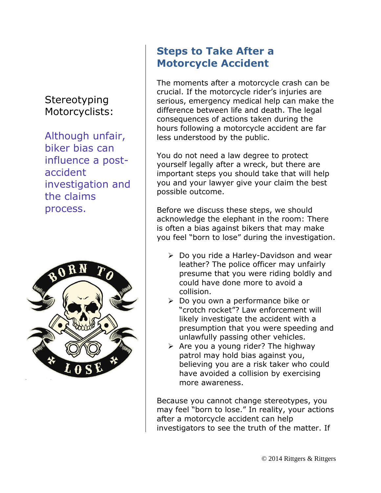# **Stereotyping** Motorcyclists:

Although unfair, biker bias can influence a postaccident investigation and the claims process.



# **Steps to Take After a Motorcycle Accident**

The moments after a motorcycle crash can be crucial. If the motorcycle rider's injuries are serious, emergency medical help can make the difference between life and death. The legal consequences of actions taken during the hours following a motorcycle accident are far less understood by the public.

You do not need a law degree to protect yourself legally after a wreck, but there are important steps you should take that will help you and your lawyer give your claim the best possible outcome.

Before we discuss these steps, we should acknowledge the elephant in the room: There is often a bias against bikers that may make you feel "born to lose" during the investigation.

- $\triangleright$  Do you ride a Harley-Davidson and wear leather? The police officer may unfairly presume that you were riding boldly and could have done more to avoid a collision.
- Do you own a performance bike or "crotch rocket"? Law enforcement will likely investigate the accident with a presumption that you were speeding and unlawfully passing other vehicles.
- $\triangleright$  Are you a young rider? The highway patrol may hold bias against you, believing you are a risk taker who could have avoided a collision by exercising more awareness.

Because you cannot change stereotypes, you may feel "born to lose." In reality, your actions after a motorcycle accident can help investigators to see the truth of the matter. If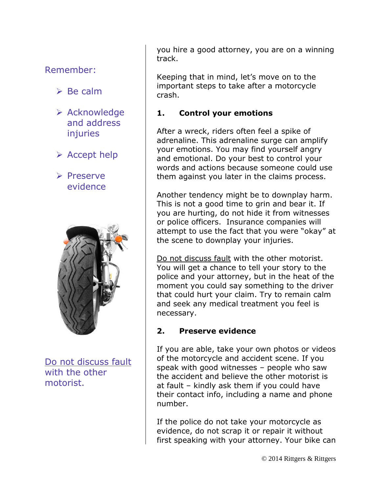### Remember:

- $\triangleright$  Be calm
- $\triangleright$  Acknowledge and address **injuries**
- $\triangleright$  Accept help
- $\triangleright$  Preserve evidence



Do not discuss fault with the other motorist.

you hire a good attorney, you are on a winning track.

Keeping that in mind, let's move on to the important steps to take after a motorcycle crash.

#### **1. Control your emotions**

After a wreck, riders often feel a spike of adrenaline. This adrenaline surge can amplify your emotions. You may find yourself angry and emotional. Do your best to control your words and actions because someone could use them against you later in the claims process.

Another tendency might be to downplay harm. This is not a good time to grin and bear it. If you are hurting, do not hide it from witnesses or police officers. Insurance companies will attempt to use the fact that you were "okay" at the scene to downplay your injuries.

Do not discuss fault with the other motorist. You will get a chance to tell your story to the police and your attorney, but in the heat of the moment you could say something to the driver that could hurt your claim. Try to remain calm and seek any medical treatment you feel is necessary.

#### **2. Preserve evidence**

If you are able, take your own photos or videos of the motorcycle and accident scene. If you speak with good witnesses – people who saw the accident and believe the other motorist is at fault – kindly ask them if you could have their contact info, including a name and phone number.

If the police do not take your motorcycle as evidence, do not scrap it or repair it without first speaking with your attorney. Your bike can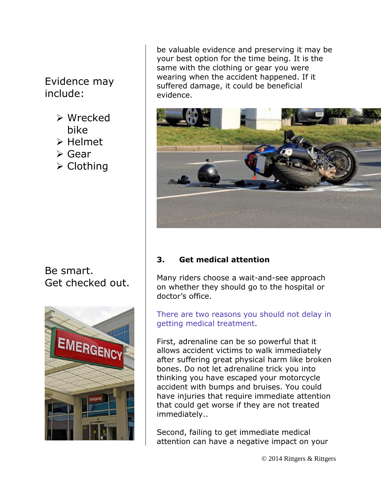## Evidence may include:

- Wrecked bike
- $\triangleright$  Helmet
- Gear
- **≻ Clothing**

### Be smart. Get checked out.



be valuable evidence and preserving it may be your best option for the time being. It is the same with the clothing or gear you were wearing when the accident happened. If it suffered damage, it could be beneficial evidence.



### **3. Get medical attention**

Many riders choose a wait-and-see approach on whether they should go to the hospital or doctor's office.

There are two reasons you should not delay in getting medical treatment.

First, adrenaline can be so powerful that it allows accident victims to walk immediately after suffering great physical harm like broken bones. Do not let adrenaline trick you into thinking you have escaped your motorcycle accident with bumps and bruises. You could have injuries that require immediate attention that could get worse if they are not treated immediately..

Second, failing to get immediate medical attention can have a negative impact on your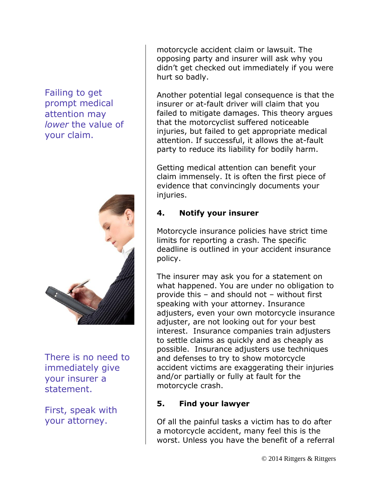Failing to get prompt medical attention may *lower* the value of your claim.



There is no need to immediately give your insurer a statement.

First, speak with your attorney.

motorcycle accident claim or lawsuit. The opposing party and insurer will ask why you didn't get checked out immediately if you were hurt so badly.

Another potential legal consequence is that the insurer or at-fault driver will claim that you failed to mitigate damages. This theory argues that the motorcyclist suffered noticeable injuries, but failed to get appropriate medical attention. If successful, it allows the at-fault party to reduce its liability for bodily harm.

Getting medical attention can benefit your claim immensely. It is often the first piece of evidence that convincingly documents your injuries.

### **4. Notify your insurer**

Motorcycle insurance policies have strict time limits for reporting a crash. The specific deadline is outlined in your accident insurance policy.

The insurer may ask you for a statement on what happened. You are under no obligation to provide this – and should not – without first speaking with your attorney. Insurance adjusters, even your own motorcycle insurance adjuster, are not looking out for your best interest. Insurance companies train adjusters to settle claims as quickly and as cheaply as possible. Insurance adjusters use techniques and defenses to try to show motorcycle accident victims are exaggerating their injuries and/or partially or fully at fault for the motorcycle crash.

#### **5. Find your lawyer**

Of all the painful tasks a victim has to do after a motorcycle accident, many feel this is the worst. Unless you have the benefit of a referral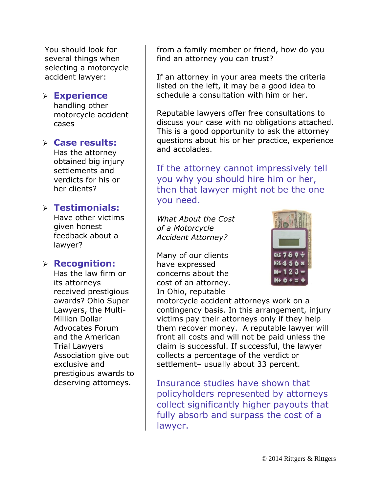You should look for several things when selecting a motorcycle accident lawyer:

#### **Experience**

handling other motorcycle accident cases

#### **Case results:**

Has the attorney obtained big injury settlements and verdicts for his or her clients?

#### **Testimonials:**

Have other victims given honest feedback about a lawyer?

#### **Recognition:**

Has the law firm or its attorneys received prestigious awards? Ohio Super Lawyers, the Multi-Million Dollar Advocates Forum and the American Trial Lawyers Association give out exclusive and prestigious awards to deserving attorneys.

from a family member or friend, how do you find an attorney you can trust?

If an attorney in your area meets the criteria listed on the left, it may be a good idea to schedule a consultation with him or her.

Reputable lawyers offer free consultations to discuss your case with no obligations attached. This is a good opportunity to ask the attorney questions about his or her practice, experience and accolades.

If the attorney cannot impressively tell you why you should hire him or her, then that lawyer might not be the one you need.

*What About the Cost of a Motorcycle Accident Attorney?*

Many of our clients have expressed concerns about the cost of an attorney. In Ohio, reputable



motorcycle accident attorneys work on a contingency basis. In this arrangement, injury victims pay their attorneys only if they help them recover money. A reputable lawyer will front all costs and will not be paid unless the claim is successful. If successful, the lawyer collects a percentage of the verdict or settlement– usually about 33 percent.

Insurance studies have shown that policyholders represented by attorneys collect significantly higher payouts that fully absorb and surpass the cost of a lawyer.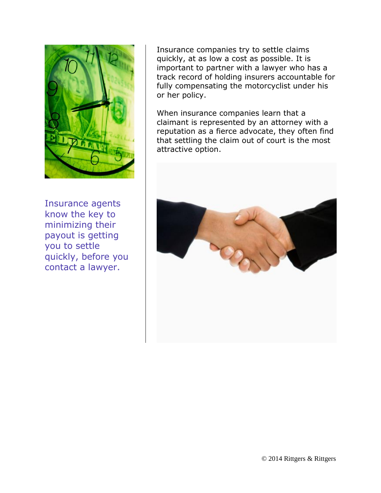

Insurance agents know the key to minimizing their payout is getting you to settle quickly, before you contact a lawyer.

Insurance companies try to settle claims quickly, at as low a cost as possible. It is important to partner with a lawyer who has a track record of holding insurers accountable for fully compensating the motorcyclist under his or her policy.

When insurance companies learn that a claimant is represented by an attorney with a reputation as a fierce advocate, they often find that settling the claim out of court is the most attractive option.

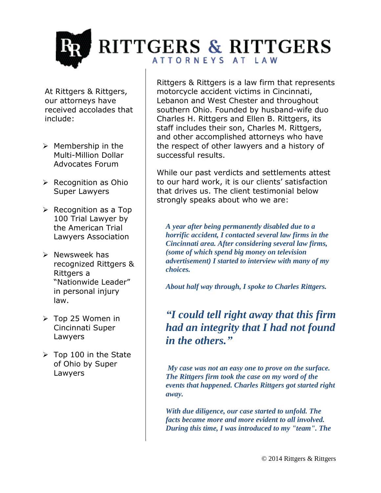RITTGERS & RITTGERS ATTORNEYS AT LAW

At Rittgers & Rittgers, our attorneys have received accolades that include:

- $\triangleright$  Membership in the Multi-Million Dollar Advocates Forum
- $\triangleright$  Recognition as Ohio Super Lawyers
- $\triangleright$  Recognition as a Top 100 Trial Lawyer by the American Trial Lawyers Association
- $\triangleright$  Newsweek has recognized Rittgers & Rittgers a "Nationwide Leader" in personal injury law.
- Top 25 Women in Cincinnati Super Lawyers
- $\triangleright$  Top 100 in the State of Ohio by Super Lawyers

Rittgers & Rittgers is a law firm that represents motorcycle accident victims in Cincinnati, Lebanon and West Chester and throughout southern Ohio. Founded by husband-wife duo Charles H. Rittgers and Ellen B. Rittgers, its staff includes their son, Charles M. Rittgers, and other accomplished attorneys who have the respect of other lawyers and a history of successful results.

While our past verdicts and settlements attest to our hard work, it is our clients' satisfaction that drives us. The client testimonial below strongly speaks about who we are:

*A year after being permanently disabled due to a horrific accident, I contacted several law firms in the Cincinnati area. After considering several law firms, (some of which spend big money on television advertisement) I started to interview with many of my choices.* 

*About half way through, I spoke to Charles Rittgers.*

*"I could tell right away that this firm had an integrity that I had not found in the others."*

*My case was not an easy one to prove on the surface. The Rittgers firm took the case on my word of the events that happened. Charles Rittgers got started right away.* 

*With due diligence, our case started to unfold. The facts became more and more evident to all involved. During this time, I was introduced to my "team". The*